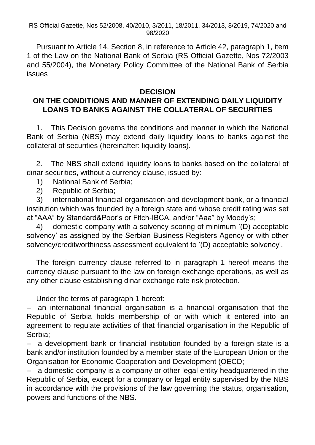RS Official Gazette, Nos 52/2008, 40/2010, 3/2011, 18/2011, 34/2013, 8/2019, 74/2020 and 98/2020

Pursuant to Article 14, Section 8, in reference to Article 42, paragraph 1, item 1 of the Law on the National Bank of Serbia (RS Official Gazette, Nos 72/2003 and 55/2004), the Monetary Policy Committee of the National Bank of Serbia issues

## **DECISION**

## **ON THE CONDITIONS AND MANNER OF EXTENDING DAILY LIQUIDITY LOANS TO BANKS AGAINST THE COLLATERAL OF SECURITIES**

1. This Decision governs the conditions and manner in which the National Bank of Serbia (NBS) may extend daily liquidity loans to banks against the collateral of securities (hereinafter: liquidity loans).

2. The NBS shall extend liquidity loans to banks based on the collateral of dinar securities, without a currency clause, issued by:

- 1) National Bank of Serbia;
- 2) Republic of Serbia;

3) international financial organisation and development bank, or a financial institution which was founded by a foreign state and whose credit rating was set at "AAA" by Standard&Poor's or Fitch-IBCA, and/or "Aaa" by Moody's;

4) domestic company with a solvency scoring of minimum '(D) acceptable solvency' as assigned by the Serbian Business Registers Agency or with other solvency/creditworthiness assessment equivalent to '(D) acceptable solvency'.

The foreign currency clause referred to in paragraph 1 hereof means the currency clause pursuant to the law on foreign exchange operations, as well as any other clause establishing dinar exchange rate risk protection.

Under the terms of paragraph 1 hereof:

– an international financial organisation is a financial organisation that the Republic of Serbia holds membership of or with which it entered into an agreement to regulate activities of that financial organisation in the Republic of Serbia;

– a development bank or financial institution founded by a foreign state is a bank and/or institution founded by a member state of the European Union or the Organisation for Economic Cooperation and Development (OECD;

– a domestic company is a company or other legal entity headquartered in the Republic of Serbia, except for a company or legal entity supervised by the NBS in accordance with the provisions of the law governing the status, organisation, powers and functions of the NBS.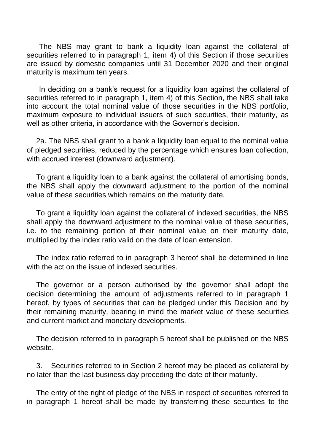The NBS may grant to bank a liquidity loan against the collateral of securities referred to in paragraph 1, item 4) of this Section if those securities are issued by domestic companies until 31 December 2020 and their original maturity is maximum ten years.

 In deciding on a bank's request for a liquidity loan against the collateral of securities referred to in paragraph 1, item 4) of this Section, the NBS shall take into account the total nominal value of those securities in the NBS portfolio, maximum exposure to individual issuers of such securities, their maturity, as well as other criteria, in accordance with the Governor's decision.

2a. The NBS shall grant to a bank a liquidity loan equal to the nominal value of pledged securities, reduced by the percentage which ensures loan collection, with accrued interest (downward adjustment).

To grant a liquidity loan to a bank against the collateral of amortising bonds, the NBS shall apply the downward adjustment to the portion of the nominal value of these securities which remains on the maturity date.

To grant a liquidity loan against the collateral of indexed securities, the NBS shall apply the downward adjustment to the nominal value of these securities, i.e. to the remaining portion of their nominal value on their maturity date, multiplied by the index ratio valid on the date of loan extension.

The index ratio referred to in paragraph 3 hereof shall be determined in line with the act on the issue of indexed securities.

The governor or a person authorised by the governor shall adopt the decision determining the amount of adjustments referred to in paragraph 1 hereof, by types of securities that can be pledged under this Decision and by their remaining maturity, bearing in mind the market value of these securities and current market and monetary developments.

The decision referred to in paragraph 5 hereof shall be published on the NBS website.

3. Securities referred to in Section 2 hereof may be placed as collateral by no later than the last business day preceding the date of their maturity.

The entry of the right of pledge of the NBS in respect of securities referred to in paragraph 1 hereof shall be made by transferring these securities to the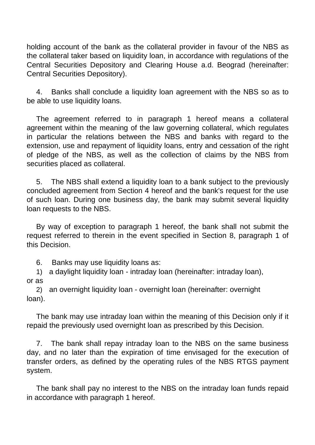holding account of the bank as the collateral provider in favour of the NBS as the collateral taker based on liquidity loan, in accordance with regulations of the Central Securities Depository and Clearing House a.d. Beograd (hereinafter: Central Securities Depository).

4. Banks shall conclude a liquidity loan agreement with the NBS so as to be able to use liquidity loans.

The agreement referred to in paragraph 1 hereof means a collateral agreement within the meaning of the law governing collateral, which regulates in particular the relations between the NBS and banks with regard to the extension, use and repayment of liquidity loans, entry and cessation of the right of pledge of the NBS, as well as the collection of claims by the NBS from securities placed as collateral.

5. The NBS shall extend a liquidity loan to a bank subject to the previously concluded agreement from Section 4 hereof and the bank's request for the use of such loan. During one business day, the bank may submit several liquidity loan requests to the NBS.

By way of exception to paragraph 1 hereof, the bank shall not submit the request referred to therein in the event specified in Section 8, paragraph 1 of this Decision.

6. Banks may use liquidity loans as:

1) a daylight liquidity loan - intraday loan (hereinafter: intraday loan), or as

2) an overnight liquidity loan - overnight loan (hereinafter: overnight loan).

The bank may use intraday loan within the meaning of this Decision only if it repaid the previously used overnight loan as prescribed by this Decision.

7. The bank shall repay intraday loan to the NBS on the same business day, and no later than the expiration of time envisaged for the execution of transfer orders, as defined by the operating rules of the NBS RTGS payment system.

The bank shall pay no interest to the NBS on the intraday loan funds repaid in accordance with paragraph 1 hereof.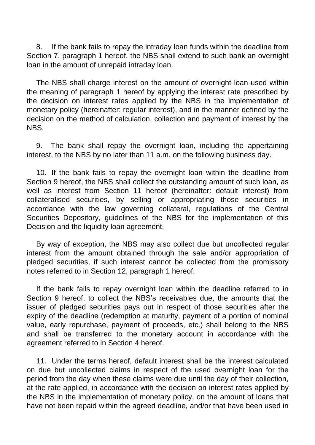8. If the bank fails to repay the intraday loan funds within the deadline from Section 7, paragraph 1 hereof, the NBS shall extend to such bank an overnight loan in the amount of unrepaid intraday loan.

The NBS shall charge interest on the amount of overnight loan used within the meaning of paragraph 1 hereof by applying the interest rate prescribed by the decision on interest rates applied by the NBS in the implementation of monetary policy (hereinafter: regular interest), and in the manner defined by the decision on the method of calculation, collection and payment of interest by the NBS.

9. The bank shall repay the overnight loan, including the appertaining interest, to the NBS by no later than 11 a.m. on the following business day.

10. If the bank fails to repay the overnight loan within the deadline from Section 9 hereof, the NBS shall collect the outstanding amount of such loan, as well as interest from Section 11 hereof (hereinafter: default interest) from collateralised securities, by selling or appropriating those securities in accordance with the law governing collateral, regulations of the Central Securities Depository, guidelines of the NBS for the implementation of this Decision and the liquidity loan agreement.

By way of exception, the NBS may also collect due but uncollected regular interest from the amount obtained through the sale and/or appropriation of pledged securities, if such interest cannot be collected from the promissory notes referred to in Section 12, paragraph 1 hereof.

If the bank fails to repay overnight loan within the deadline referred to in Section 9 hereof, to collect the NBS's receivables due, the amounts that the issuer of pledged securities pays out in respect of those securities after the expiry of the deadline (redemption at maturity, payment of a portion of nominal value, early repurchase, payment of proceeds, etc.) shall belong to the NBS and shall be transferred to the monetary account in accordance with the agreement referred to in Section 4 hereof.

11. Under the terms hereof, default interest shall be the interest calculated on due but uncollected claims in respect of the used overnight loan for the period from the day when these claims were due until the day of their collection, at the rate applied, in accordance with the decision on interest rates applied by the NBS in the implementation of monetary policy, on the amount of loans that have not been repaid within the agreed deadline, and/or that have been used in